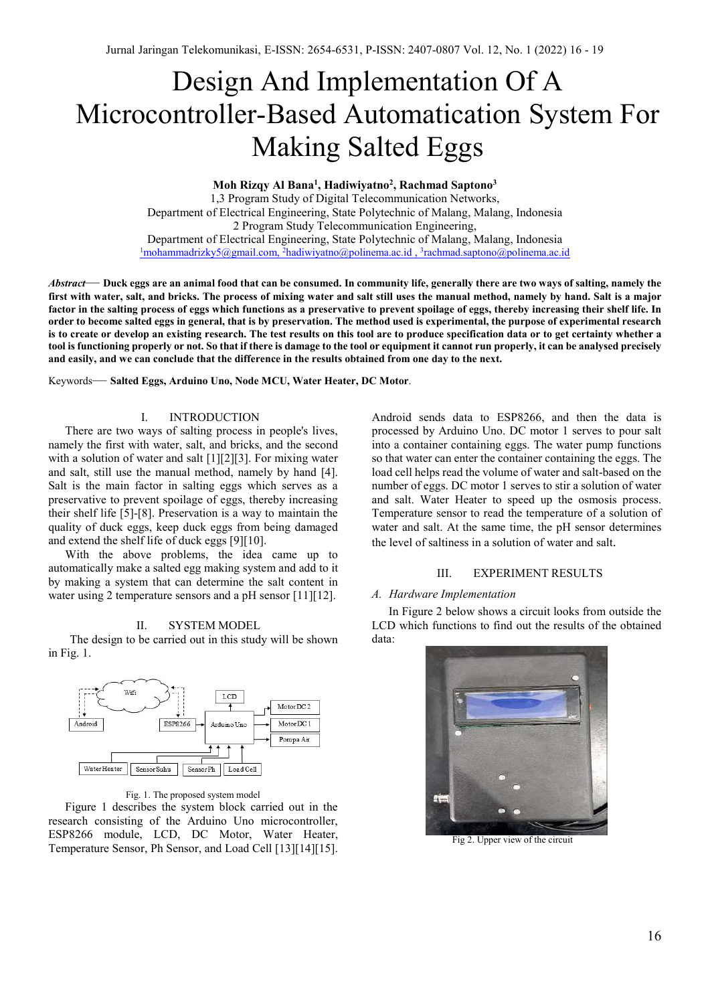# Design And Implementation Of A Microcontroller-Based Automatication System For Making Salted Eggs

**Moh Rizqy Al Bana1 , Hadiwiyatno2 , Rachmad Saptono3**

1,3 Program Study of Digital Telecommunication Networks, Department of Electrical Engineering, State Polytechnic of Malang, Malang, Indonesia 2 Program Study Telecommunication Engineering, Department of Electrical Engineering, State Polytechnic of Malang, Malang, Indonesia <sup>1</sup>mohammadrizky5@gmail.com, <sup>2</sup>hadiwiyatno@polinema.ac.id, <sup>3</sup>rachmad.saptono@polinema.ac.id

*Abstract*— **Duck eggs are an animal food that can be consumed. In community life, generally there are two ways of salting, namely the first with water, salt, and bricks. The process of mixing water and salt still uses the manual method, namely by hand. Salt is a major factor in the salting process of eggs which functions as a preservative to prevent spoilage of eggs, thereby increasing their shelf life. In order to become salted eggs in general, that is by preservation. The method used is experimental, the purpose of experimental research is to create or develop an existing research. The test results on this tool are to produce specification data or to get certainty whether a tool is functioning properly or not. So that if there is damage to the tool or equipment it cannot run properly, it can be analysed precisely and easily, and we can conclude that the difference in the results obtained from one day to the next.**

Keywords— **Salted Eggs, Arduino Uno, Node MCU, Water Heater, DC Motor**.

# I. INTRODUCTION

There are two ways of salting process in people's lives, namely the first with water, salt, and bricks, and the second with a solution of water and salt [1][2][3]. For mixing water and salt, still use the manual method, namely by hand [4]. Salt is the main factor in salting eggs which serves as a preservative to prevent spoilage of eggs, thereby increasing their shelf life [5]-[8]. Preservation is a way to maintain the quality of duck eggs, keep duck eggs from being damaged and extend the shelf life of duck eggs [9][10].

With the above problems, the idea came up to automatically make a salted egg making system and add to it by making a system that can determine the salt content in water using 2 temperature sensors and a pH sensor [11][12].

#### II. SYSTEM MODEL

The design to be carried out in this study will be shown in Fig. 1.



Fig. 1. The proposed system model

Figure 1 describes the system block carried out in the research consisting of the Arduino Uno microcontroller, ESP8266 module, LCD, DC Motor, Water Heater, Temperature Sensor, Ph Sensor, and Load Cell [13][14][15]. Android sends data to ESP8266, and then the data is processed by Arduino Uno. DC motor 1 serves to pour salt into a container containing eggs. The water pump functions so that water can enter the container containing the eggs. The load cell helps read the volume of water and salt-based on the number of eggs. DC motor 1 serves to stir a solution of water and salt. Water Heater to speed up the osmosis process. Temperature sensor to read the temperature of a solution of water and salt. At the same time, the pH sensor determines the level of saltiness in a solution of water and salt.

## III. EXPERIMENT RESULTS

## *A. Hardware Implementation*

In Figure 2 below shows a circuit looks from outside the LCD which functions to find out the results of the obtained data:



Fig 2. Upper view of the circuit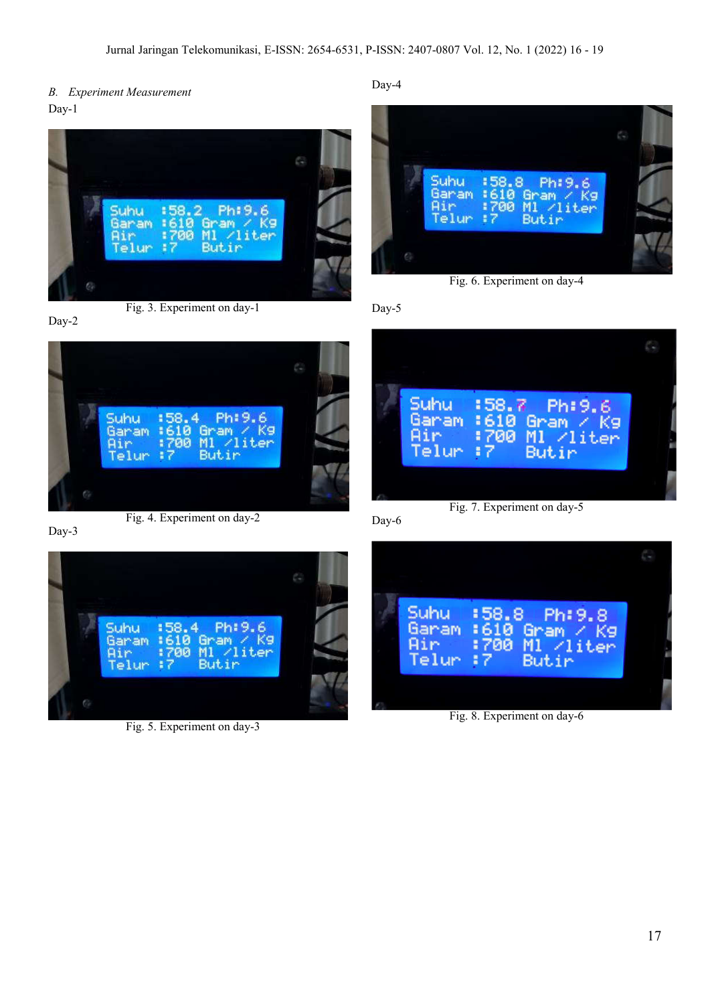*B. Experiment Measurement* Day-1



Fig. 3. Experiment on day-1

Day-2





Day-3



Fig. 5. Experiment on day-3





Fig. 6. Experiment on day-4

Day-5



Day-6



Fig. 8. Experiment on day-6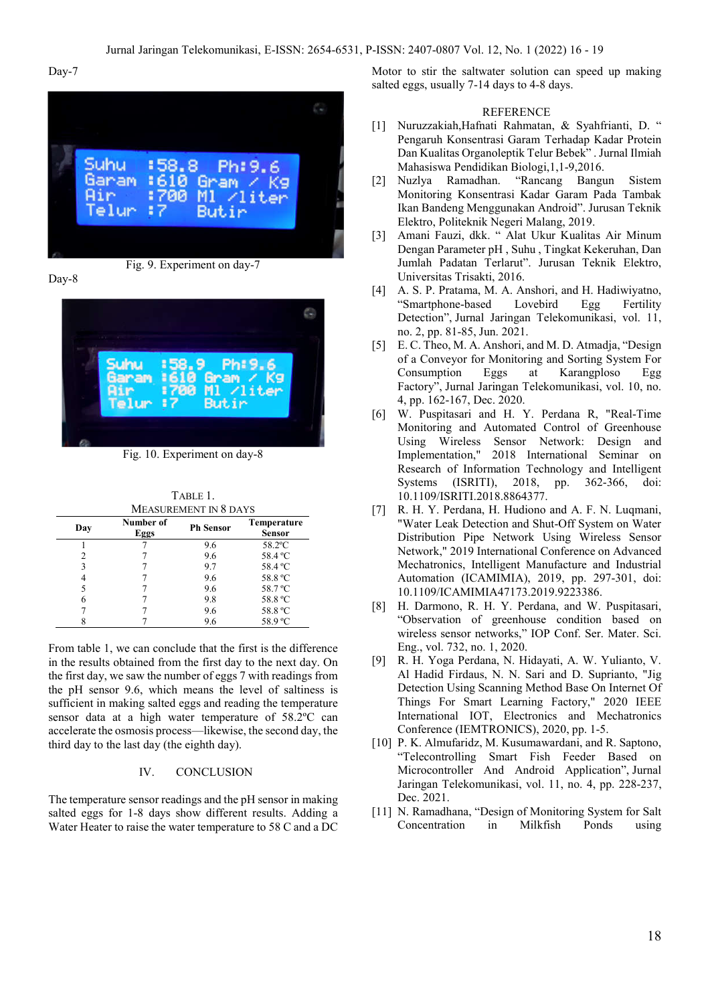#### Day-7



Fig. 9. Experiment on day-7





Fig. 10. Experiment on day-8

TABLE 1. MEASUREMENT IN 8 DAYS

| Day | Number of<br>Eggs | <b>Ph Sensor</b> | Temperature<br><b>Sensor</b> |
|-----|-------------------|------------------|------------------------------|
|     |                   | 9.6              | 58.2°C                       |
|     |                   | 9.6              | 58.4 °C                      |
| 3   |                   | 9.7              | 58.4 °C                      |
|     |                   | 9.6              | 58.8 °C                      |
|     |                   | 9.6              | 58.7 °C                      |
| 6   |                   | 9.8              | 58.8 °C                      |
|     |                   | 9.6              | 58.8 °C                      |
|     |                   | 9.6              | 58.9 °C                      |

From table 1, we can conclude that the first is the difference in the results obtained from the first day to the next day. On the first day, we saw the number of eggs 7 with readings from the pH sensor 9.6, which means the level of saltiness is sufficient in making salted eggs and reading the temperature sensor data at a high water temperature of 58.2ºC can accelerate the osmosis process—likewise, the second day, the third day to the last day (the eighth day).

#### IV. CONCLUSION

The temperature sensor readings and the pH sensor in making salted eggs for 1-8 days show different results. Adding a Water Heater to raise the water temperature to 58 C and a DC

Motor to stir the saltwater solution can speed up making salted eggs, usually 7-14 days to 4-8 days.

#### **REFERENCE**

- [1] Nuruzzakiah,Hafnati Rahmatan, & Syahfrianti, D. " Pengaruh Konsentrasi Garam Terhadap Kadar Protein Dan Kualitas Organoleptik Telur Bebek" . Jurnal Ilmiah Mahasiswa Pendidikan Biologi,1,1-9,2016.
- [2] Nuzlya Ramadhan. "Rancang Bangun Sistem Monitoring Konsentrasi Kadar Garam Pada Tambak Ikan Bandeng Menggunakan Android". Jurusan Teknik Elektro, Politeknik Negeri Malang, 2019.
- [3] Amani Fauzi, dkk. " Alat Ukur Kualitas Air Minum Dengan Parameter pH , Suhu , Tingkat Kekeruhan, Dan Jumlah Padatan Terlarut". Jurusan Teknik Elektro, Universitas Trisakti, 2016.
- [4] A. S. P. Pratama, M. A. Anshori, and H. Hadiwiyatno, "Smartphone-based Lovebird Egg Fertility Detection", Jurnal Jaringan Telekomunikasi, vol. 11, no. 2, pp. 81-85, Jun. 2021.
- [5] E. C. Theo, M. A. Anshori, and M. D. Atmadja, "Design of a Conveyor for Monitoring and Sorting System For<br>
Consumption Eggs at Karangploso Egg Consumption Eggs at Karangploso Egg Factory", Jurnal Jaringan Telekomunikasi, vol. 10, no. 4, pp. 162-167, Dec. 2020.
- [6] W. Puspitasari and H. Y. Perdana R, "Real-Time Monitoring and Automated Control of Greenhouse Using Wireless Sensor Network: Design and Implementation," 2018 International Seminar on Research of Information Technology and Intelligent Systems (ISRITI), 2018, pp. 362-366, doi: 10.1109/ISRITI.2018.8864377.
- [7] R. H. Y. Perdana, H. Hudiono and A. F. N. Luqmani, "Water Leak Detection and Shut-Off System on Water Distribution Pipe Network Using Wireless Sensor Network," 2019 International Conference on Advanced Mechatronics, Intelligent Manufacture and Industrial Automation (ICAMIMIA), 2019, pp. 297-301, doi: 10.1109/ICAMIMIA47173.2019.9223386.
- [8] H. Darmono, R. H. Y. Perdana, and W. Puspitasari, "Observation of greenhouse condition based on wireless sensor networks," IOP Conf. Ser. Mater. Sci. Eng., vol. 732, no. 1, 2020.
- [9] R. H. Yoga Perdana, N. Hidayati, A. W. Yulianto, V. Al Hadid Firdaus, N. N. Sari and D. Suprianto, "Jig Detection Using Scanning Method Base On Internet Of Things For Smart Learning Factory," 2020 IEEE International IOT, Electronics and Mechatronics Conference (IEMTRONICS), 2020, pp. 1-5.
- [10] P. K. Almufaridz, M. Kusumawardani, and R. Saptono, "Telecontrolling Smart Fish Feeder Based on Microcontroller And Android Application", Jurnal Jaringan Telekomunikasi, vol. 11, no. 4, pp. 228-237, Dec. 2021.
- [11] N. Ramadhana, "Design of Monitoring System for Salt Concentration in Milkfish Ponds using